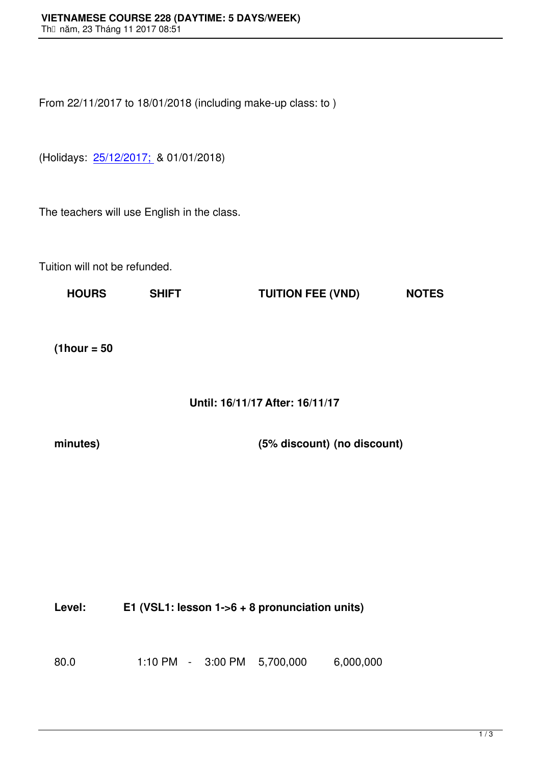From 22/11/2017 to 18/01/2018 (including make-up class: to )

(Holidays: 25/12/2017; & 01/01/2018)

The teache[rs will use En](file:///C:/Users/QuocViet/Desktop/www.vns.edu.vn)glish in the class.

Tuition will not be refunded.

**HOURS SHIFT TUITION FEE (VND) NOTES**

**(1hour = 50**

## **Until: 16/11/17 After: 16/11/17**

**minutes) (5% discount) (no discount)**

**Level: E1 (VSL1: lesson 1->6 + 8 pronunciation units)**

80.0 1:10 PM - 3:00 PM 5,700,000 6,000,000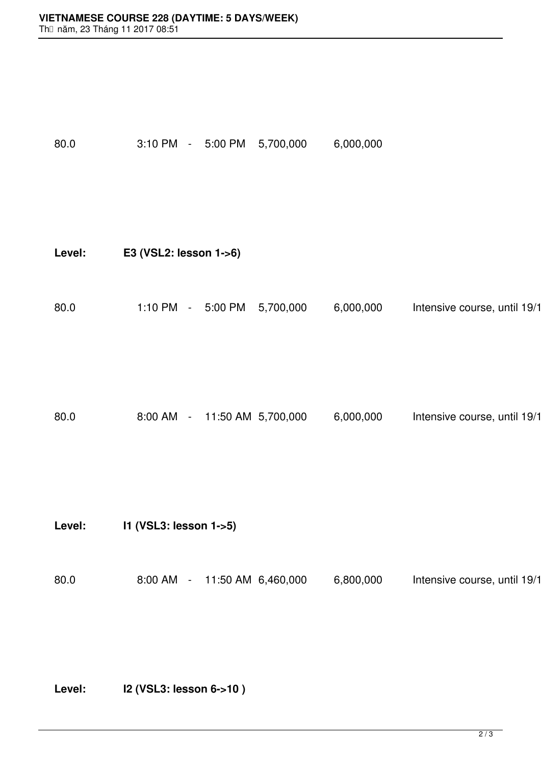| 80.0   | 5,700,000 | 6,000,000                                                                                                                                                  |                              |
|--------|-----------|------------------------------------------------------------------------------------------------------------------------------------------------------------|------------------------------|
| Level: |           |                                                                                                                                                            |                              |
| 80.0   | 5,700,000 | 6,000,000                                                                                                                                                  | Intensive course, until 19/1 |
| 80.0   |           | 6,000,000                                                                                                                                                  | Intensive course, until 19/1 |
| Level: |           |                                                                                                                                                            |                              |
| 80.0   |           | 6,800,000                                                                                                                                                  | Intensive course, until 19/1 |
|        |           | 3:10 PM - 5:00 PM<br>E3 (VSL2: lesson 1->6)<br>1:10 PM - 5:00 PM<br>8:00 AM - 11:50 AM 5,700,000<br>I1 (VSL3: lesson 1->5)<br>8:00 AM - 11:50 AM 6,460,000 |                              |

**Level: I2 (VSL3: lesson 6->10 )**